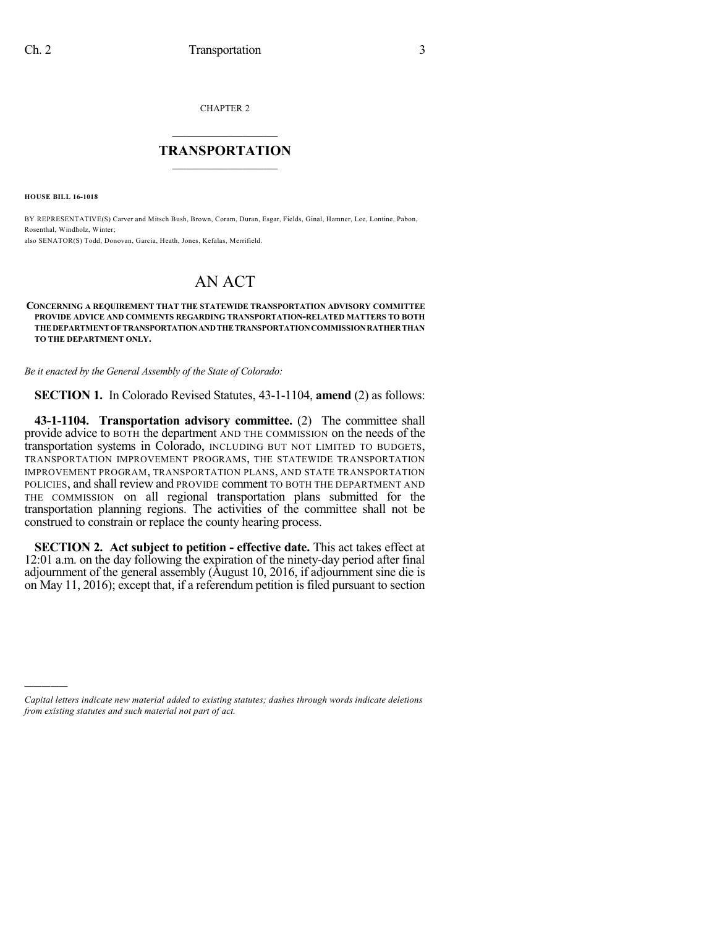CHAPTER 2

## $\mathcal{L}_\text{max}$  . The set of the set of the set of the set of the set of the set of the set of the set of the set of the set of the set of the set of the set of the set of the set of the set of the set of the set of the set **TRANSPORTATION**  $\_$   $\_$   $\_$   $\_$   $\_$   $\_$   $\_$   $\_$   $\_$

**HOUSE BILL 16-1018**

)))))

BY REPRESENTATIVE(S) Carver and Mitsch Bush, Brown, Coram, Duran, Esgar, Fields, Ginal, Hamner, Lee, Lontine, Pabon, Rosenthal, Windholz, Winter; also SENATOR(S) Todd, Donovan, Garcia, Heath, Jones, Kefalas, Merrifield.

## AN ACT

## **CONCERNING A REQUIREMENT THAT THE STATEWIDE TRANSPORTATION ADVISORY COMMITTEE PROVIDE ADVICE AND COMMENTS REGARDING TRANSPORTATION-RELATED MATTERS TO BOTH THEDEPARTMENTOFTRANSPORTATIONANDTHETRANSPORTATIONCOMMISSIONRATHERTHAN TO THE DEPARTMENT ONLY.**

*Be it enacted by the General Assembly of the State of Colorado:*

**SECTION 1.** In Colorado Revised Statutes, 43-1-1104, **amend** (2) as follows:

**43-1-1104. Transportation advisory committee.** (2) The committee shall provide advice to BOTH the department AND THE COMMISSION on the needs of the transportation systems in Colorado, INCLUDING BUT NOT LIMITED TO BUDGETS, TRANSPORTATION IMPROVEMENT PROGRAMS, THE STATEWIDE TRANSPORTATION IMPROVEMENT PROGRAM, TRANSPORTATION PLANS, AND STATE TRANSPORTATION POLICIES, and shall review and PROVIDE comment TO BOTH THE DEPARTMENT AND THE COMMISSION on all regional transportation plans submitted for the transportation planning regions. The activities of the committee shall not be construed to constrain or replace the county hearing process.

**SECTION 2. Act subject to petition - effective date.** This act takes effect at 12:01 a.m. on the day following the expiration of the ninety-day period after final adjournment of the general assembly (August 10, 2016, if adjournment sine die is on May 11, 2016); except that, if a referendum petition is filed pursuant to section

*Capital letters indicate new material added to existing statutes; dashes through words indicate deletions from existing statutes and such material not part of act.*